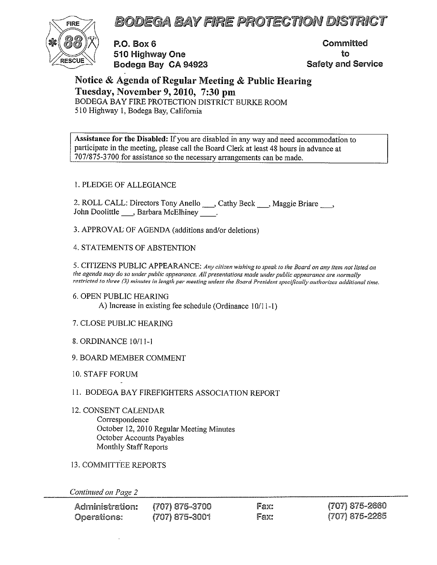FIRE 7A BODEGA BAY FIRE PROTECTION DISTRICT



P.O. Box 6 Committed <sup>510</sup> Highway One to RESCUE Bodega Bay CA <sup>94923</sup> Safety and Service

Notice & Agenda of Regular Meeting & Public Hearing Tuesday, November 9, 2010, 7:30 pm BODEGA BAY FIRE PROTECTION DISTRICT BURKE ROOM 510 Highway 1, Bodega Bay, California

Assistance for the Disabled: If you are disabled in any way and need accommodation to participate in the meeting, please call the Board Clerk at least 48 hours in advance at 707/875-3700 for assistance so the necessary arrangements can be made.

#### 1. PLEDGE OF ALLEGIANCE

2. ROLL CALL: Directors Tony Anello \_\_\_, Cathy Beck \_\_\_, Maggie Briare \_\_\_, John Doolittle \_\_\_, Barbara McElhiney \_\_\_\_\_.

3. APPROVAL OF AGENDA (additions and/or deletions)

#### 4. STATEMENTS OF ABSTENTION

5. CITIZENS PUBLIC APPEARANCE: Any citizen wishing to speak to the Board on any item not listed on the agenda may do so under public appearance. All presentations made under public appearance are normally restricted to three (3) minutes in length per meeting unless the Board President specifically authorizes additional time.

- 6. OPEN PUBLIC HEARING A) Increase in existing fee schedule (Ordinance 10/11-1)
- 7. CLOSE PUBLIC HEARING
- 8. ORDINANCE 10/11-1
- 9. BOARD MEMBER COMMENT
- 10. STAFF FORUM
- 11. BODEGA BAY FIREFIGHTERS ASSOCIATION REPORT
- 12. CONSENT CALENDAR Correspondence October 12, 2010 Regular Meeting Minutes October Accounts Payables Monthly Staff Reports
- 13. COMMITTEE REPORTS

Continued on Page 2

| Administration: | (707) 875-3700   | Fax: | (707) 875-2660 |
|-----------------|------------------|------|----------------|
| Operations:     | $(707)$ 875-3001 | Fax: | (707) 875-2285 |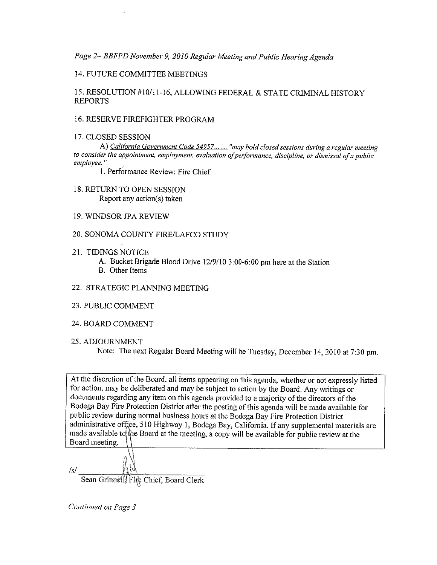Page 2— BBFPD November 9, <sup>2010</sup> Regular Meeting and Public Hearing Agenda

#### 14. FUTURE COMMITTEE MEETINGS

 $\tilde{\phantom{a}}$ 

15. RESOLUTION #10/11-16, ALLOWING FEDERAL & STATE CRIMINAL HISTORY REPORTS

#### 16. RESERVE FIREFIGHTER PROGRAM

#### 17. CLOSED SESSION

A) California Government Code 54957....... "may hold closed sessions during a regular meeting to consider the appointment, employment, evaluation of performance, discipline, or dismissal of a public employee."

1. Performance Review: Fire Chief

- 18. RETURN TO OPEN SESSION Report any action(s) taken
- 19. WINDSOR JPA REVIEW
- 20. SONOMA COUNTY FIRE/LAFCO STUDY
- 21. TIDINGS NOTICE
	- A. Bucket Brigade Blood Drive 12/9/10 3:00-6:00 pm here at the Station
	- B. Other Items
- 22. STRATEGIC PLANNING MEETING
- 23. PUBLIC COMMENT
- 24. BOARD COMMENT
- 25. ADJOURNMENT

Note: The next Regular Board Meeting will be Tuesday, December 14,2010 at 7:30 pm.

At the discretion of the Board, all items appearing on this agenda, whether or not expressly listed for action, may be deliberated and may be subject to action by the Board. Any writings or documents regarding any item on this agenda provided to <sup>a</sup> majority of the directors of the Bodega Bay Fire Protection District after the posting of this agenda will be made available for public review during normal business hours at the Bodega Bay Fire Protection District administrative office, 510 Highway 1, Bodega Bay, California. If any supplemental materials are made available to the Board at the meeting, a copy will be available for public review at the Board meeting. \ \

/s/  $\_$ Sean Grinnelly Fire Chief, Board Clerk

Continued on Page 3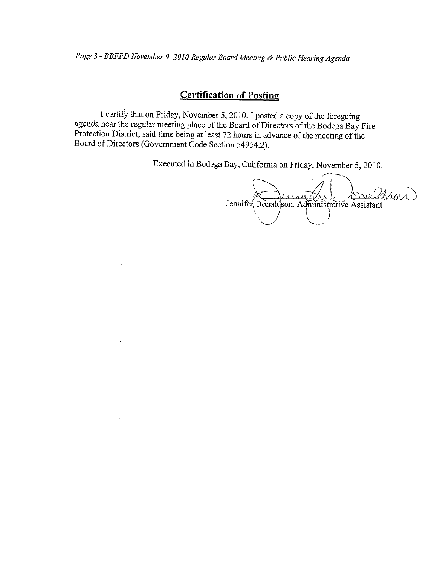Page 3~ BBFPD November 9, 2010 Regular Board Meeting & Public Hearing Agenda

## **Certification of Posting**

I certify that on Friday, November 5, 2010, I posted a copy of the foregoing agenda near the regular meeting place of the Board of Directors of the Bodega Bay Fire Protection District, said time being at least 72 hours in

Executed in Bodega Bay, California on Friday, November 5, 2010.

Jennifer Donaldson, Administrative Assistan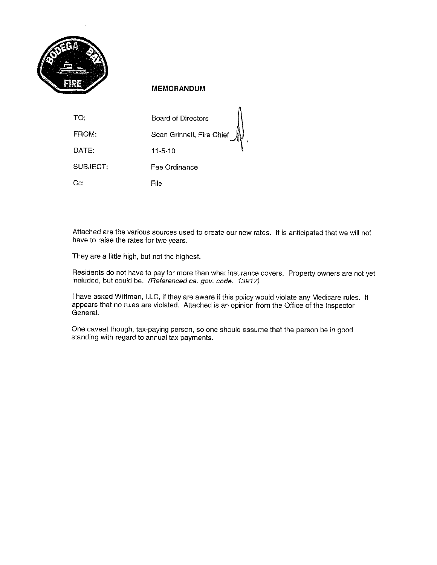

#### MEMORANDUM

| TO:      | Board of Directors        |
|----------|---------------------------|
| FROM:    | Sean Grinnell, Fire Chief |
| DATE:    | 11-5-10                   |
| SUBJECT: | Fee Ordinance             |
| Cc.      | File                      |

Attached are the various sources used to create our new rates. It is anticipated that we will not have to raise the rates for two years.

They are <sup>a</sup> little high, but not the highest.

Residents do not have to pay for more than what insurance covers. Property owners are not yet included, but could be. (Referenced ca. gov. code. 13917)

<sup>I</sup> have asked Wittman, LLC, if they are aware if this policy would violate any Medicare rules. It appears that no rules are violated. Attached is an opinion from the Office of the Inspector General.

One caveat though, tax-paying person, so one should assume that the person be in good standing with regard to annual tax payments.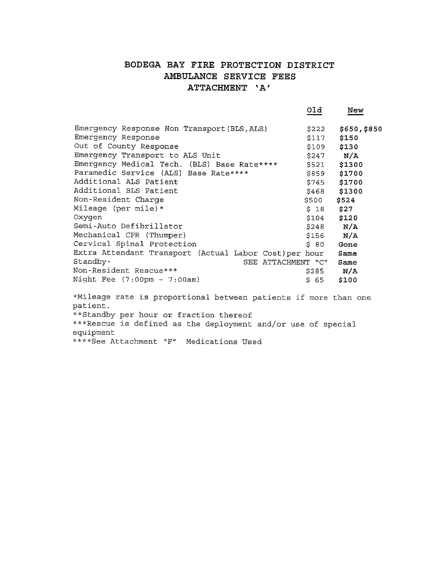## BODEGA BAY FIRE PROTECTION DISTRICT AMBULANCE SERVICE FEES ATTACHMENT 'A'

|                                                        | old                  | New          |
|--------------------------------------------------------|----------------------|--------------|
| Emergency Response Non Transport (BLS, ALS)            | \$222                | \$650,\$850  |
| Emergency Response                                     | \$117                | \$150        |
| Out of County Response                                 | \$109                | \$130        |
| Emergency Transport to ALS Unit                        | \$247                | N/A          |
| Emergency Medical Tech. (BLS) Base Rate ****           | \$521                | \$1300       |
| Paramedic Service (ALS) Base Rate****                  | \$859                | \$1700       |
| Additional ALS Patient                                 | \$745                | s1700        |
| Additional BLS Patient                                 | \$468                | \$1300       |
| Non-Resident Charge                                    | \$500                | \$524        |
| Mileage (per mile) *                                   | $S$ 18               | \$27         |
| Oxygen                                                 | \$104                | \$120        |
| Semi-Auto Defibrillator                                |                      | $$248$ $N/A$ |
| Mechanical CPR (Thumper)                               | \$156                | N/A          |
| Cervical Spinal Protection                             | \$ 80                | Gone         |
| Extra Attendant Transport (Actual Labor Cost) per hour |                      | Same         |
| Standby-<br>SEE ATTACHMENT "C"                         |                      | Same         |
| Non-Resident Rescue***                                 | \$285                | N/A          |
| Night Fee $(7:00 \text{pm} - 7:00 \text{am})$          | \$65                 | \$100        |
| 36 N 8 1 1 1 1                                         | $\sim$ $\sim$ $\sim$ |              |

\*Mileage rate is proportional between patients if more than one patient. \*\*Standby per hour or fraction thereof \*\*\*Rescue is defined as the deployment and/or use of special equipment \*\*\*\*See Attachment "F" Medications Used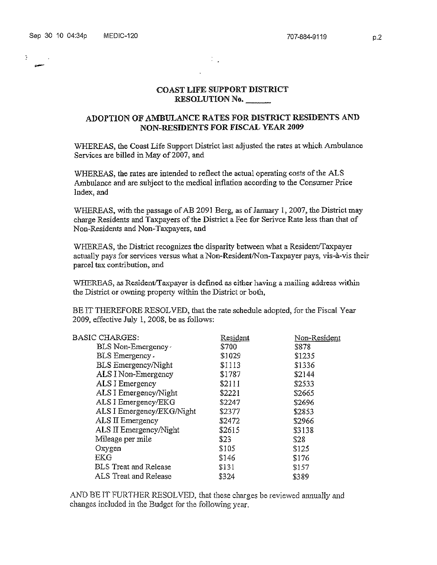$\mathcal{I}$ 

#### COAST LIFE SUPPORT DISTRICT RESOLUTION No.\_\_\_\_

 $\mathcal{I}_{\text{max}}$ 

 $\ddot{\phantom{a}}$ 

#### ADOPTiON OF AMBULANCE RATES FOR DISTRICT RESIDENTS AND NON-RESIDENTS FOR FISCAL YEAR 2009

'WHEREAS, the Coast Life Support District last adjusted the rates at which Ambulance Services are billed in May of 2007, and

WHEREAS. the rates are intended to reflect the actual operating costs of the ALS Ambulance and are subject to the medical inflation according to the Consumer Price Index, and

WHEREAS, with the passage of AB 2091 Berg, as of January 1, 2007, the District may charge Residents and Taxpayers of the District a Fee for Serivce Rate less than that of Non-Residents and Non—Taxpayers, and

WHEREAS, the District recognizes the disparity between what <sup>a</sup> Resident/Taxpayer actually pays for services versus what <sup>a</sup> Non-Resident/Non-Taxpayer pays, vis-à-vis their parcel tax contribution, and

WHEREAS, as Resident/Taxpayer is defined as either having <sup>a</sup> mailing address within the District or owning property within the District or both,

BE IT THEREFORE RESOLVED, that the rate schedule adopted, for the Fiscal Year 2009, effective July 1. 2008, be as follows:

| <b>BASIC CHARGES:</b>        | Resident | Non-Resident |
|------------------------------|----------|--------------|
| BLS Non-Emergency-           | \$700    | \$878        |
| BLS Emergency.               | \$1029   | \$1235       |
| <b>BLS</b> Emergency/Night   | \$1113   | \$1336       |
| ALS I Non-Emergency          | \$1787   | \$2144       |
| ALS I Emergency              | \$2111   | \$2533       |
| ALS I Emergency/Night        | \$2221   | \$2665       |
| ALS I Emergency/EKG          | \$2247   | \$2696       |
| ALS I Emergency/EKG/Night    | \$2377   | \$2853       |
| ALS II Emergency             | \$2472   | \$2966       |
| ALS II Emergency/Night       | \$2615   | \$3138       |
| Mileage per mile             | \$23     | \$28         |
| Oxygen                       | \$105    | <b>S125</b>  |
| <b>EKG</b>                   | \$146    | \$176        |
| <b>BLS</b> Treat and Release | \$131    | \$157        |
| ALS Treat and Release        | \$324    | \$389        |
|                              |          |              |

AND BE IT FURTHER RESOLVED, that these charges be reviewed annually and changes included in the Budgct for the following year.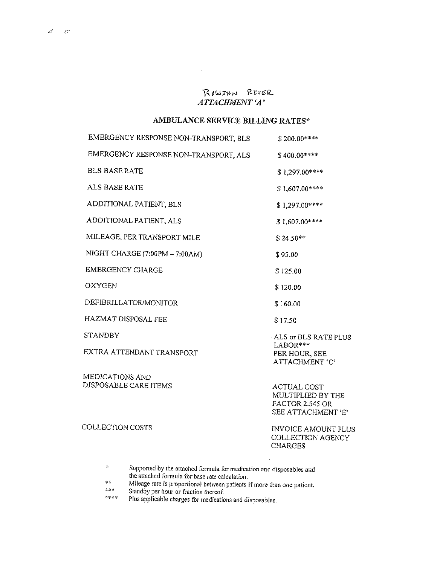## RUSSIAN RIVER ATTACHMENT 'A'

 $\downarrow$ 

## AMBULANCE SERVICE BILLING RATES\*

| EMERGENCY RESPONSE NON-TRANSPORT, BLS | $$200.00***$                                                                            |
|---------------------------------------|-----------------------------------------------------------------------------------------|
| EMERGENCY RESPONSE NON-TRANSPORT, ALS | $$400.00***$                                                                            |
| <b>BLS BASE RATE</b>                  | \$1,297.00****                                                                          |
| ALS BASE RATE                         | \$1,607.00 ****                                                                         |
| ADDITIONAL PATIENT, BLS               | $$1,297.00***$                                                                          |
| ADDITIONAL PATIENT, ALS               | \$1,607.00****                                                                          |
| MILEAGE, PER TRANSPORT MILE           | $$24.50**$                                                                              |
| NIGHT CHARGE (7:00PM - 7:00AM)        | \$95.00                                                                                 |
| <b>EMERGENCY CHARGE</b>               | \$125.00                                                                                |
| <b>OXYGEN</b>                         | \$120.00                                                                                |
| DEFIBRILLATOR/MONITOR                 | \$160.00                                                                                |
| HAZMAT DISPOSAL FEE                   | \$17.50                                                                                 |
| <b>STANDBY</b>                        | ALS or BLS RATE PLUS                                                                    |
| EXTRA ATTENDANT TRANSPORT             | LABOR***<br>PER HOUR, SEE<br>ATTACHMENT 'C'                                             |
| MEDICATIONS AND                       |                                                                                         |
| DISPOSABLE CARE ITEMS                 | <b>ACTUAL COST</b><br>MULTIPLIED BY THE<br><b>FACTOR 2.545 OR</b><br>SEE ATTACHMENT 'E' |
| COLLECTION COSTS                      | <b>INVOICE AMOUNT PLUS</b>                                                              |

COLLECTION AGENCY CHARGES

 $\mathfrak{p}$ Supported by the attached formula for medication and disposables and the attached formula for base rate calculation.

\*\* Mileage rate is proportional between patients if more than one patient.

 $***$  Standby per hour or fraction thereof.

Plus applicable charges for medications and disposables.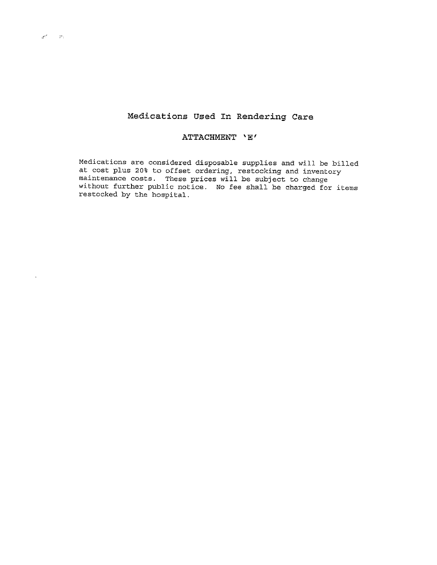# Medications Used In Rendering Care

#### ATTACHMENT 'E'

Medications are considered disposable supplies and will, be billed at cost plus 20% to offset ordering, restocking and inventory maintenance costs. These prices will be subject to change<br>without further public notice. No fee shall be charged for items<br>restocked by the hospital.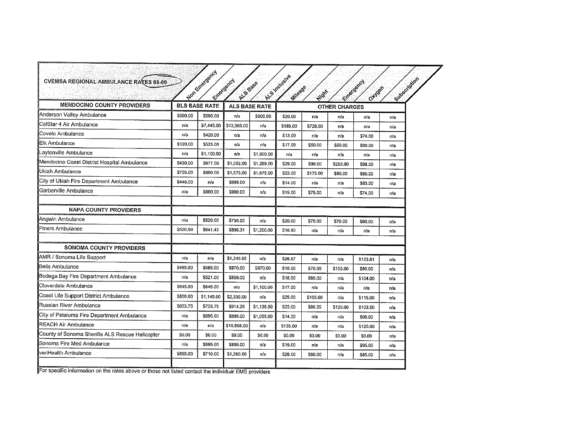| <b>MENDOCINO COUNTY PROVIDERS</b>               | Mon Emergency<br>Emergency<br><b>BLS BASE RATE</b> |            | RIUS Base   | <b>ALS BASE RATE</b> | Ris mouelus<br>Subscriber<br>Elizabetech<br>Mileage<br>OHOGA<br><b>High</b><br><b>OTHER CHARGES</b> |          |          |          |     |
|-------------------------------------------------|----------------------------------------------------|------------|-------------|----------------------|-----------------------------------------------------------------------------------------------------|----------|----------|----------|-----|
| Anderson Valley Ambulance                       | \$500.00                                           | \$560.00   | вłа         | \$800.00             | \$20.00                                                                                             | n/a      | n'a      | n/a      | n/a |
| CalStar 4 Air Ambulance                         | n/a                                                | \$7,445.00 | \$12,565,00 | n/a                  | \$185.00                                                                                            | \$726.00 | n/a      | n/a      | n'a |
| Covelo Ambulance                                | n/a                                                | \$420.00   | n/a         | n/a                  | \$13.00                                                                                             | nia      | п/а      | \$74.00  | nia |
| <b>IEI</b> k Ambulance                          | \$120,00                                           | \$525.00   | n/a         | n/a                  | \$17.00                                                                                             | \$50.00  | \$50.00  | \$90.00  | n/a |
| Laytonville Ambulance                           | n/a                                                | \$1,100.00 | n/a         | \$1,600.00           | n/a                                                                                                 | n/a      | n/a      | n/a      | nia |
| Mendocino Coast District Hospital Ambulance     | \$430.00                                           | \$677.00   | \$1,082.00  | \$1,289.00           | \$29.00                                                                                             | \$99.00  | \$203.00 | \$98.00  | n/a |
| IUkiah Ambulance                                | \$725.00                                           | \$800.00   | \$1,575.00  | \$1,675.00           | \$23.00                                                                                             | \$175.00 | \$80.00  | \$80.00  | n/a |
| City of Ukiah Fire Department Ambulance         | \$448.00                                           | n/a        | \$989.00    | na                   | \$14.00                                                                                             | n/a      | na       | \$83.00  | n/a |
| Garberville Ambulance                           | n/a                                                | S600.00    | \$900.00    | n/a                  | \$15.00                                                                                             | \$75.00  | n'a      | \$74.00  | пʻа |
| <b>NAPA COUNTY PROVIDERS</b>                    |                                                    |            |             |                      |                                                                                                     |          |          |          |     |
| Angwin Ambulance                                | n/a                                                | \$520.00   | \$736.00    | n/a                  | \$20.00                                                                                             | \$70.00  | \$70.00  | \$60.00  | n/a |
| Piners Ambulance                                | \$520,59                                           | \$641.43   | \$896.31    | \$1,200.00           | \$18.90                                                                                             | n/a      | n/a      | n/a      | n/a |
| SONOMA COUNTY PROVIDERS                         |                                                    |            |             |                      |                                                                                                     |          |          |          |     |
| AMR / Sonoma Life Support                       | n/a                                                | n/a        | \$1,245.62  | n/a                  | \$26.57                                                                                             | na       | n/a      | \$123.81 | n/a |
| <b>IBelis Ambulance</b>                         | \$485.00                                           | \$585.00   | \$870.00    | \$970.00             | \$18,50                                                                                             | \$70.00  | \$100.00 | \$80.00  | n'a |
| Bodega Bay Fire Department Ambulance            | n/a                                                | \$521.00   | \$859.00    | n/a                  | \$18.00                                                                                             | \$65.00  | n/a      | \$104.00 | n a |
| Cloverdale Ambulance                            | S645.00                                            | \$645.00   | n/a         | \$1,100.00           | \$17.00                                                                                             | n'a      | n'a      | n/a      | n'a |
| Coast Life Support District Ambulance           | \$800.00                                           | \$1,140.00 | \$2,330.00  | n/a                  | \$25.00                                                                                             | \$105.00 | n/a      | \$115.00 | n/a |
| Russian River Ambulance                         | \$603.75                                           | \$723.75   | \$914.25    | \$1,138.50           | \$22.00                                                                                             | \$86.25  | \$120.00 | \$103,50 | n'a |
| City of Petaluma Fire Department Ambulance      | n/a                                                | \$695.00   | \$895.00    | \$1,055.00           | \$14.50                                                                                             | n/a      | n/a      | \$95.00  | n/a |
| REACH Air Ambulance                             | n/a                                                | n/a        | \$10,868.00 | n/a                  | \$135.00                                                                                            | n/a      | n/a      | \$120.00 | n/a |
| County of Sonoma Sheriffs ALS Rescue Helicopter | <b>SO.00</b>                                       | \$0.00     | \$0.00      | S0.00                | \$0.00                                                                                              | \$0.00   | \$0.00   | \$0.00   | n/a |
| Sonoma Fire Med Ambulance                       | n/a                                                | \$595.00   | \$895.00    | n/a                  | \$19.00                                                                                             | n/a      | n/a      | \$95.00  | n/a |
| veriHealth Ambulance                            | \$595.00                                           | S710.00    | \$1,360.00  | n/a                  | \$28.00                                                                                             | \$60,00  | nia      | \$85.00  | n/a |

For specific information on the rates above or those not listed contact the individual EMS providers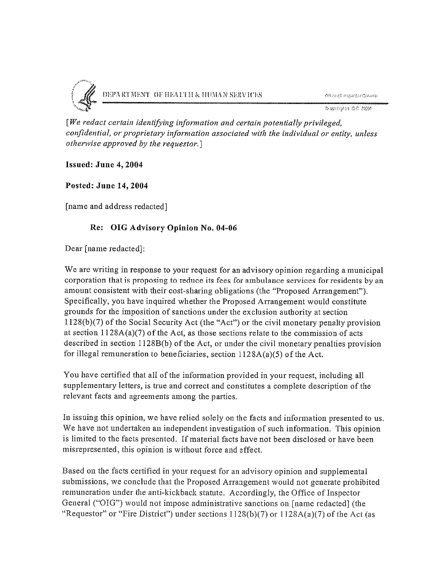

[We redact certain identifying information and certain potentially privileged, confidential, or proprietary information associated with the individual or entity, unless otherwise approved by the requestor.]

Issued: June 4,2004

Posted: June 14, 2004

[name and address redacted]

#### Re: OIG Advisory Opinion No. 04-06

Dear [name redacted]:

We are writing in response to your request for an advisory opinion regarding <sup>a</sup> municipal corporation that is proposing to reduce its fees for ambulance services for residents by an amount consistent with their cost-sharing obligations (the "Proposed Arrangement"). Specifically, you have inquired whether the Proposed Arrangement would constitute grounds for the imposition of sanctions under the exclusion authority at section 1l28(b)(7) of the Social Security Act (the "Act") or the civil monetary penalty provision at section  $1128A(a)(7)$  of the Act, as those sections relate to the commission of acts described in section 1128B(b) of the Act, or under the civil monetary penalties provision for illegal remuneration to beneficiaries, section  $1128A(a)(5)$  of the Act.

You have certified that all of the information provided in your request, including all supplementary letters, is true and correct and constitutes <sup>a</sup> complete description of the relevant facts and agreements among the parties.

In issuing this opinion, we have relied solely on the facts and information presented to us. We have not undertaken an independent investigation of such information. This opinion is limited to the facts presented. If material facts have not been disclosed or have been misrepresented, this opinion is without force and effect.

Based on the facts certified in your request for an advisory opinion and supplemental submissions, we conclude that the Proposed Arrangement would not generate prohibited remuneration under the anti-kickback statute. Accordingly, the Office of Inspector General ("OIG") would not impose administrative sanctions on [name redacted] (the "Requestor" or "Fire District") under sections  $1128(b)(7)$  or  $1128A(a)(7)$  of the Act (as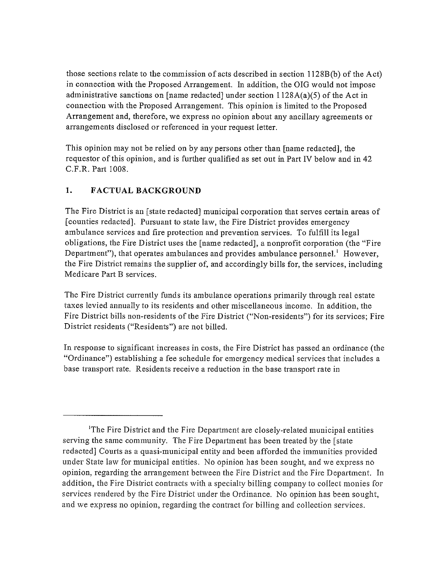those sections relate to the commission of acts described in section 1128B(b) of the Act) in connection with the Proposed Arrangement. In addition, the OIG would not impose administrative sanctions on [name redacted] under section 1 128 A(a)(5) of the Act in connection with the Proposed Arrangement. This opinion is limited to the Proposed Arrangement and, therefore, we express no opinion about any ancillary agreements or arrangements disclosed or referenced in your request letter.

This opinion may not be relied on by any persons other than [name redacted], the requestor of this opinion, and is further qualified as set out in Part IV below and in 42 C.F.R. Part 1008.

## 1. FACTUAL BACKGROUND

The Fire District is an [state redacted] municipal corporation that serves certain areas of [counties redacted]. Pursuant to state law, the Fire District provides emergency ambulance services and fire protection and prevention services. To fulfill its legal obligations, the Fire District uses the [name redacted], <sup>a</sup> nonprofit corporation (the "Fire Department"), that operates ambulances and provides ambulance personnel.' However, the Fire District remains the supplier of, and accordingly bills for, the services, including Medicare Part B services.

The Fire District currently funds its ambulance operations primarily through real estate taxes levied annually to its residents and other miscellaneous income. In addition, the Fire District bills non-residents of the Fire District ("Non-residents") for its services; Fire District residents ("Residents") are not billed.

In response to significant increases in costs, the Fire District has passed an ordinance (the "Ordinance") establishing <sup>a</sup> fee schedule for emergency medical services that includes <sup>a</sup> base transport rate. Residents receive <sup>a</sup> reduction in the base transport rate in

<sup>&#</sup>x27;The Fire District and the Fire Department are closely-related municipal entities serving the same community. The Fire Department has been treated by the [state redacted] Courts as <sup>a</sup> quasi-municipal entity and been afforded the immunities provided under State law for municipal entities. No opinion has been sought, and we express no opinion, regarding the arrangement between the Fire District and the Fire Department. In addition, the Fire District contracts with <sup>a</sup> specialty billing company to collect monies for services rendered by the Fire District under the Ordinance. No opinion has been sought, and we express no opinion, regarding the contract for billing and collection services.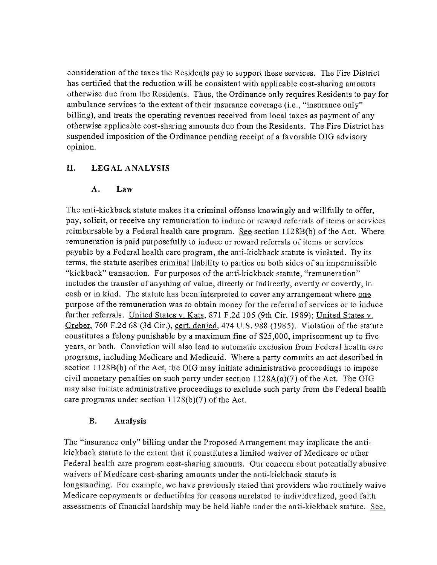consideration of the taxes the Residents pay to support these services. The Fire District has certified that the reduction will be consistent with applicable cost-sharing amounts otherwise due from the Residents. Thus, the Ordinance only requires Residents to pay for ambulance services to the extent of their insurance coverage (i.e., "insurance only" billing), and treats the operating revenues received from local taxes as payment of any otherwise applicable cost-sharing amounts due from the Residents. The Fire District has suspended imposition of the Ordinance pending receipt of a favorable OIG advisory opinion.

## II. LEGAL ANALYSIS

## A. Law

The anti-kickback statute makes it a criminal offense knowingly and willfully to offer, pay, solicit, or receive any remuneration to induce or reward referrals of items or services reimbursable by a Federal health care program. See section  $1128B(b)$  of the Act. Where remuneration is paid purposefully to induce or reward referrals of items or services payable by <sup>a</sup> Federal health care program, the anti-kickback statute is violated. By its terms, the statute ascribes criminal liability to parties on both sides of an impermissible "kickback" transaction. For purposes of the anti-kickback statute, "remuneration" includes the transfer of anything of value, directly or indirectly, overtly or covertly, in cash or in kind. The statute has been interpreted to cover any arrangement where one purpose of the remuneration was to obtain money for the referral of services or to induce further referrals. United States v. Kats, 871 F.2d 105 (9th Cir. 1989); United States v. Greber, 760 F.2d 68 (3d Cir.), cert. denied, 474 U.S. 988 (1985). Violation of the statute constitutes <sup>a</sup> felony punishable by <sup>a</sup> maximum fine of \$25,000, imprisonment up to five years, or both. Conviction will also lead to automatic exclusion from Federal health care programs, including Medicare and Medicaid. Where <sup>a</sup> party commits an act described in section  $1128B(b)$  of the Act, the OIG may initiate administrative proceedings to impose civil monetary penalties on such party under section  $1128A(a)(7)$  of the Act. The OIG may also initiate administrative proceedings to exclude such party from the Federal health care programs under section  $1128(b)(7)$  of the Act.

## B. Analysis

The "insurance only" billing under the Proposed Arrangement may implicate the antikickback statute to the extent that it constitutes <sup>a</sup> limited waiver of Medicare or other Federal health care program cost-sharing amounts. Our concern about potentially abusive waivers of Medicare cost-sharing amounts under the anti-kickback statute is longstanding. For example, we have previously stated that providers who routinely waive Medicare copayments or deductibles for reasons unrelated to individualized, good faith assessments of financial hardship may be held liable under the anti-kickback statute. See,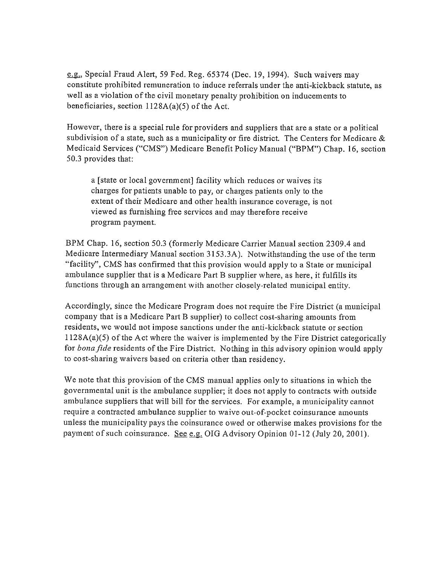e.g., Special Fraud Alert, 59 Fed. Reg. 65374 (Dec. 19, 1994). Such waivers may constitute prohibited remuneration to induce referrals under the anti-kickback statute, as well as <sup>a</sup> violation of the civil monetary penalty prohibition on inducements to beneficiaries, section  $1128A(a)(5)$  of the Act.

However, there is <sup>a</sup> special rule for providers and suppliers that are <sup>a</sup> state or <sup>a</sup> political subdivision of <sup>a</sup> state, such as <sup>a</sup> municipality or fire district. The Centers for Medicare & Medicaid Services ("CMS") Medicare Benefit Policy Manual ("BPM") Chap. 16, section 50.3 provides that:

<sup>a</sup> [state or local government] facility which reduces or waives its charges for patients unable to pay, or charges patients only to the extent of their Medicare and other health insurance coverage, is not viewed as furnishing free services and may therefore receive program payment.

BPM Chap. 16, section 50.3 (formerly Medicare Carrier Manual section 2309.4 and Medicare Intermediary Manual section <sup>3153</sup> .3A). Notwithstanding the use of the term "facility", CMS has confirmed that this provision would apply to <sup>a</sup> State or municipal ambulance supplier that is <sup>a</sup> Medicare Part B supplier where, as here, it fulfills its functions through an arrangement with another closely-related municipal entity.

Accordingly, since the Medicare Program does not require the Fire District (a municipal company that is <sup>a</sup> Medicare Part <sup>B</sup> supplier) to collect cost-sharing amounts from residents, we would not impose sanctions under the anti-kickback statute or section  $1128A(a)(5)$  of the Act where the waiver is implemented by the Fire District categorically for *bona fide* residents of the Fire District. Nothing in this advisory opinion would apply to cost-sharing waivers based on criteria other than residency.

We note that this provision of the CMS manual applies only to situations in which the governmental unit is the ambulance supplier; it does not apply to contracts with outside ambulance suppliers that will bill for the services. For example, <sup>a</sup> municipality cannot require <sup>a</sup> contracted ambulance supplier to waive out-of-pocket coinsurance amounts unless the municipality pays the coinsurance owed or otherwise makes provisions for the payment of such coinsurance. See e.g. OIG Advisory Opinion 01-12 (July 20, 2001).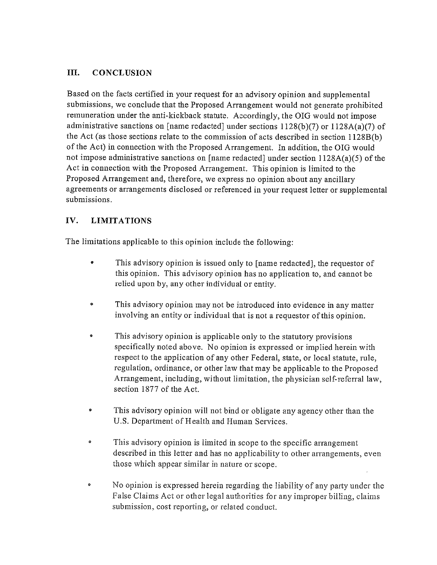## III. CONCLUSION

Based on the facts certified in your request for an advisory opinion and supplemental submissions, we conclude that the Proposed Arrangement would not generate prohibited remuneration under the anti-kickback statute. Accordingly, the OIG would not impose administrative sanctions on [name redacted] under sections  $1128(b)(7)$  or  $1128A(a)(7)$  of the Act (as those sections relate to the commission of acts described in section <sup>1</sup> 128B(b) of the Act) in connection with the Proposed Arrangement. In addition, the OIG would not impose administrative sanctions on [name redacted] under section <sup>1</sup> 128A(a)(5) of the Act in connection with the Proposed Arrangement. This opinion is limited to the Proposed Arrangement and, therefore, we express no opinion about any ancillary agreements or arrangements disclosed or referenced in your request letter or supplemental submissions.

## IV. LIMITATIONS

The limitations applicable to this opinion include the following:

- This advisory opinion is issued only to [name redacted], the requestor of this opinion. This advisory opinion has no application to, and cannot be relied upon by, any other individual or entity.
- This advisory opinion may not be introduced into evidence in any matter involving an entity or individual that is not <sup>a</sup> requestor of this opinion.
- This advisory opinion is applicable only to the statutory provisions specifically noted above. No opinion is expressed or implied herein with respect to the application of any other Federal, state, or local statute, rule, regulation, ordinance, or other law that may be applicable to the Proposed Arrangement, including, without limitation, the physician self-referral law, section 1877 of the Act.
- This advisory opinion will not bind or obligate any agency other than the U.S. Department of Health and Human Services.
- <sup>o</sup> This advisory opinion is limited in scope to the specific arrangement described in this letter and has no applicability to other arrangements, even those which appear similar in nature or scope.
- <sup>o</sup> No opinion is expressed herein regarding the liability of any patty under the False Claims Act or other legal authorities for any improper billing, claims submission, cost reporting, or related conduct.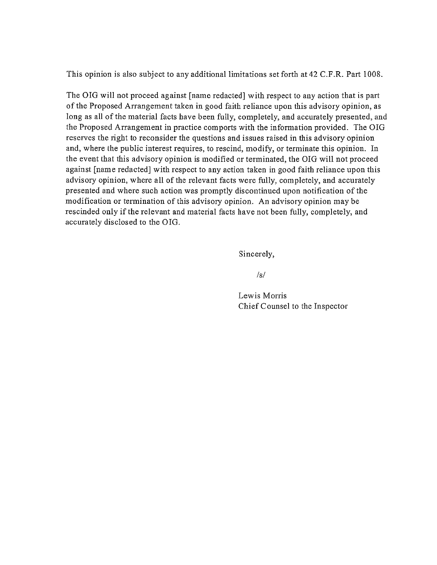This opinion is also subject to any additional limitations set forth at 42 C.F.R. Part 1008.

The OIG will not proceed against [name redacted] with respect to any action that is part of the Proposed Arrangement taken in good faith reliance upon this advisory opinion, as long as all of the material facts have been fully, completely, and accurately presented, and the Proposed Arrangement in practice comports with the information provided. The OIG reserves the right to reconsider the questions and issues raised in this advisory opinion and, where the public interest requires, to rescind, modify, or terminate this opinion. In the event that this advisory opinion is modified or terminated, the OIG will not proceed against [name redacted] with respect to any action taken in good faith reliance upon this advisory opinion, where all of the relevant facts were filly, completely, and accurately presented and where such action was promptly discontinued upon notification of the modification or termination of this advisory opinion. An advisory opinion may be rescinded only if the relevant and material facts have not been fully, completely, and accurately disclosed to the 01G.

Sincerely,

 $/s/$ 

Lewis Morris Chief Counsel to the Inspector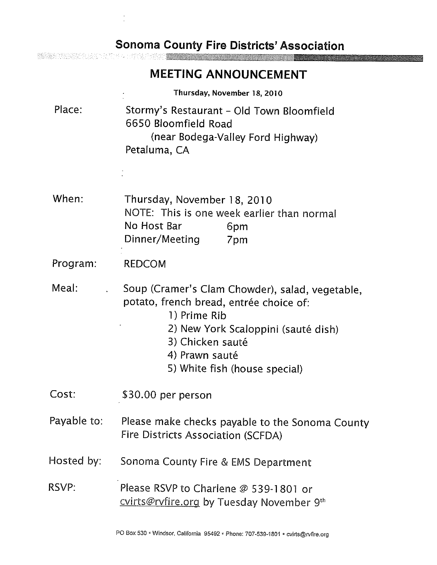# **Sonoma County Fire Districts' Association**

an di Kabupatén Tidak Kabu

 $\frac{1}{\epsilon}$ 

|             | <b>MEETING ANNOUNCEMENT</b>                                                                                                                                                                                              |  |
|-------------|--------------------------------------------------------------------------------------------------------------------------------------------------------------------------------------------------------------------------|--|
|             | Thursday, November 18, 2010                                                                                                                                                                                              |  |
| Place:      | Stormy's Restaurant - Old Town Bloomfield<br>6650 Bloomfield Road<br>(near Bodega-Valley Ford Highway)<br>Petaluma, CA                                                                                                   |  |
| When:       | Thursday, November 18, 2010<br>NOTE: This is one week earlier than normal<br>No Host Bar<br>6pm<br>Dinner/Meeting<br>7pm                                                                                                 |  |
| Program:    | <b>REDCOM</b>                                                                                                                                                                                                            |  |
| Meal:       | Soup (Cramer's Clam Chowder), salad, vegetable,<br>potato, french bread, entrée choice of:<br>1) Prime Rib<br>2) New York Scaloppini (sauté dish)<br>3) Chicken sauté<br>4) Prawn sauté<br>5) White fish (house special) |  |
| Cost:       | \$30.00 per person                                                                                                                                                                                                       |  |
| Payable to: | Please make checks payable to the Sonoma County<br>Fire Districts Association (SCFDA)                                                                                                                                    |  |
| Hosted by:  | Sonoma County Fire & EMS Department                                                                                                                                                                                      |  |
| RSVP:       | Please RSVP to Charlene @ 539-1801 or<br>Cvirts@rvfire.org by Tuesday November 9th                                                                                                                                       |  |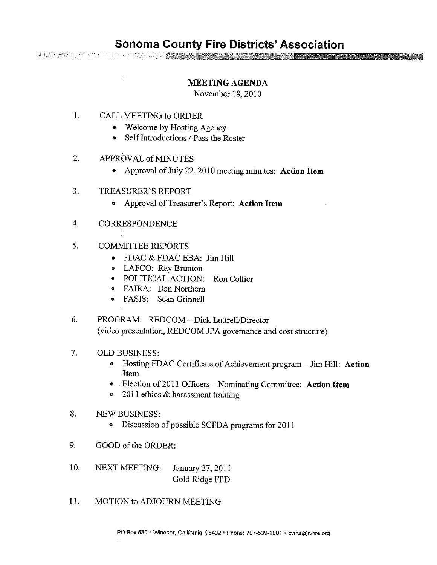## MEETING AGENDA

November 18, 2010

1. CALL MEETING to ORDER

**经经济经济经济**和社会和社会的生活的经济经济

- Welcome by Hosting Agency
- Self Introductions / Pass the Roster
- 2. APPROVAL of MINUTES
	- Approval of July 22, 2010 meeting minutes: Action Item
- 3. TREASURER'S REPORT
	- Approval of Treasurer's Report: Action Item
- 4. CORRESPONDENCE
- 5. COMMITTEE REPORTS
	- FDAC & FDAC EBA: Jim Hill
	- LAFCO: Ray Brunton
	- <sup>o</sup> POLITICAL ACTION: Ron Collier
	- <sup>o</sup> FAIRA: Dan Northern
	- FASIS: Sean Grinnell
- 6. PROGRAM: REDCOM Dick Luttrell/Director (video presentation, REDCOM JPA governance and cost structure)
- 7. OLD BUSINESS:
	- Hosting FDAC Certificate of Achievement program Jim Hill: Action Item
	- Election of 2011 Officers Nominating Committee: Action Item
	- 2011 ethics & harassment training
- 8. NEW BUSINESS:
	- <sup>o</sup> Discussion of possible SCFDA programs for 2011
- 9. GOOD of the ORDER:
- 10. NEXT MEETING: January 27, 2011 Gold Ridge FPD
- 11. MOTION to ADJOURN MEETING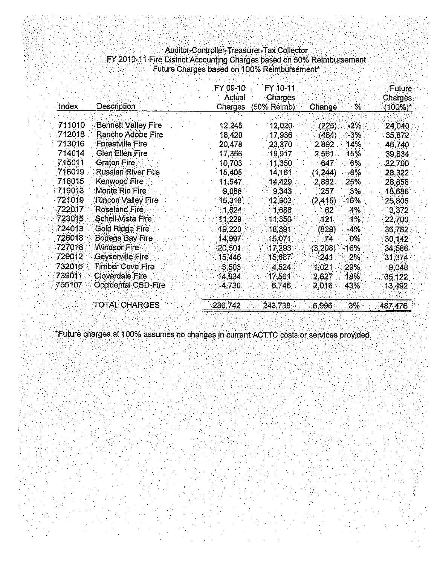## Auditor-Controller-Treasurer-Tax Collector FY2OIO-11 Fire District Accounting Charges based on 50% Reimbursement Future Charges based on 100% Reimbursement\*

|        |                            | FY 09-10<br>Actual | FY 10-11<br><b>Charges</b> |          |          | Future<br>Charges: |
|--------|----------------------------|--------------------|----------------------------|----------|----------|--------------------|
| Index  | Description                | <b>Charges</b>     | $(50\%$ Reimb)             | Change   | $\%$     | (100%)*            |
| 711010 | <b>Bennett Valley Fire</b> | 12,245             | 12,020.                    | (225)    | -2%      | 24,040             |
| 712018 | Rancho Adobe Fire          | 18,420             | 17,936                     | (484)    | $-3\%$   | 35,872             |
| 713016 | Forestville Fire           | 20,478             | 23,370                     | 2,892    | 14%      | 46,740             |
| 714014 | <b>Glen Ellen Fire</b>     | 17,356             | 19,917                     | 2,561    | 15%      | 39,834             |
| 715011 | Graton Fire                | 10,703             | 11,350                     | 647      | 6%       | 22,700             |
| 716019 | <b>Russian River Fire</b>  | 15,405             | 14,161                     | (1, 244) | $-8\%$   | 28,322             |
| 718015 | Kenwood Fire               | 11,547             | 14,429                     | 2,882.   | 25%      | 28,858             |
| 719013 | Monte Rio Fire             | 9,086              | 9,343                      | 257      | $3\%$ .  | 18,686             |
| 721019 | Rincon Valley Fire         | 15,318             | 12,903                     | (2, 415) | -16%     | 25,806             |
| 722017 | Roseland Fire              | 1,624              | 1,686                      | 62       | 4%       | 3,372              |
| 723015 | Schell-Vista Fire          | 11,229             | 11,350                     | 121      | $1\%$    | 22,700             |
| 724013 | Gold Ridge Fire            | 19,220             | 18,391                     | (829)    | $-4%$    | 36,782             |
| 726018 | Bodega Bay Fire            | 14,997             | 15,071                     | -74      | $0\%$    | 30, 142            |
| 727016 | Windsor Fire               | 20,501             | 17,293                     | (3,208)  | -16%.    | 34,586             |
| 729012 | Geyserville Fire           | 15,446.            | 15,687                     | 241      | 2%       | 31,374             |
| 732016 | <b>Timber Cove Fire</b>    | 3,503              | 4.524                      | 1,021    | $29\%$ . | 9,048              |
| 739011 | Cloverdale Fire            | 14,934.            | 17,561                     | 2,627    | 18%      | 35,122             |
| 765107 | Occidental CSD-Fire        | 4,730.             | 6,746                      | 2,016    | 43%      | 13,492             |
|        | <b>TOTAL CHARGES</b>       | 236,742            | 243,738                    | 6,996    | 3%       | 487,476            |

\*Future charges at 100% assumes no changes in current ACTTC costs or services provided.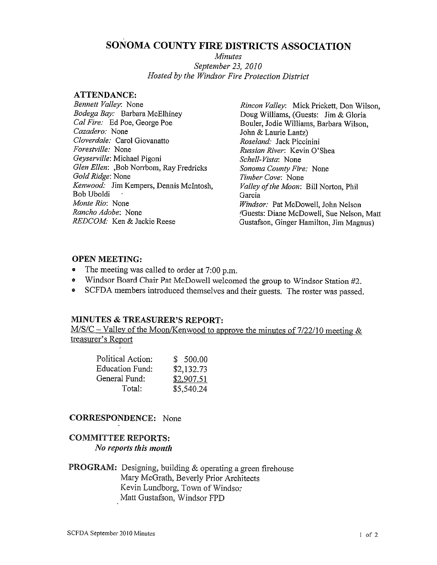# SONOMA COUNTY FIRE DISTRICTS ASSOCIATION

Minutes September 23, 2010 Hosted by the Windsor Fire Protection District

#### **ATTENDANCE:**

Bennett Valley: None Bodega Bay: Barbara McElhiney Cal Fire: Ed Poe, George Poe Cazadero: None Cloverdale: Carol Giovanatto Forestville: None Geyserville: Michael Pigoni Glen Ellen: ,Bob Norrbom, Ray Fredricks Gold Ridge: None Kenwood: Jim Kempers, Dennis McIntosh, Bob Uboldi - Monte Rio: None Rancho Adobe: None REDCOM: Ken & Jackie Reese

Rincon Valley: Mick Prickett, Don Wilson, Doug Williams, (Guests: Jim & Gloria Bouler, Jodie Williams, Barbara Wilson, John & Laurie Lantz) Roseland: Jack Piccinini Russian River: Kevin O'Shea Schell-Vista: None Sonoma County Fire: None Timber Cove: None Valley of the Moon: Bill Norton, Phil Garcia Windsor: Pat McDowell, John Nelson (Guests: Diane McDowell, Sue Nelson, Mart Gustafson, Ginger Hamilton, Jim Magnus)

## OPEN MEETING:

- The meeting was called to order at 7:00 p.m.
- Windsor Board Chair Pat McDowell welcomed the group to Windsor Station #2.
- SCFDA members introduced themselves and their guests. The roster was passed.

## MINUTES & TREASURER'S REPORT:

 $M/S/C - Valuey$  of the Moon/Kenwood to approve the minutes of 7/22/10 meeting & treasurer's Report

| Political Action:      | \$500.00   |
|------------------------|------------|
| <b>Education Fund:</b> | \$2,132.73 |
| General Fund:          | \$2,907.51 |
| Total:                 | \$5,540.24 |

## CORRESPONDENCE: None

## COMMITTEE REPORTS: No reports this month

PROGRAM: Designing, building & operating <sup>a</sup> green firehouse Mary McGrath, Beverly Prior Architects Kevin Lundborg, Town of Windsor Matt Gustafson, Windsor FPD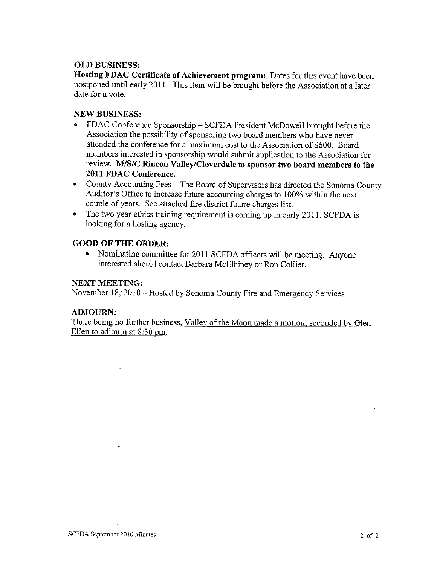## OLD BUSINESS:

Hosting FDAC Certificate of Achievement program: Dates for this event have been postponed until early 2011. This item will be brought before the Association at <sup>a</sup> later date for a vote.

## NEW BUSINESS:

- FDAC Conference Sponsorship SCFDA President McDowell brought before the Association the possibility of sponsoring two board members who have never attended the conference for <sup>a</sup> maximum cost to the Association of \$600. Board members interested in sponsorship would submit application to the Association for review. MIS/C Rincon Valley/Cloverdale to sponsor two board members to the 2011 FDAC Conference.
- County Accounting Fees The Board of Supervisors has directed the Sonoma County Auditor's Office to increase future accounting charges to 100% within the next couple of years. See attached fire district future charges list.
- The two year ethics training requirement is coming up in early 2011. SCFDA is looking for <sup>a</sup> hosting agency.

## GOOD OF THE ORDER:

• Nominating committee for <sup>2011</sup> SCFDA officers will be meeting. Anyone interested should contact Barbara McElhiney or Ron Collier.

#### NEXT MEETING:

November 18, 2010 – Hosted by Sonoma County Fire and Emergency Services

#### ADJOURN:

There being no further business, Valley of the Moon made a motion, seconded by Glen Ellen to adjourn at 8:30 pm.